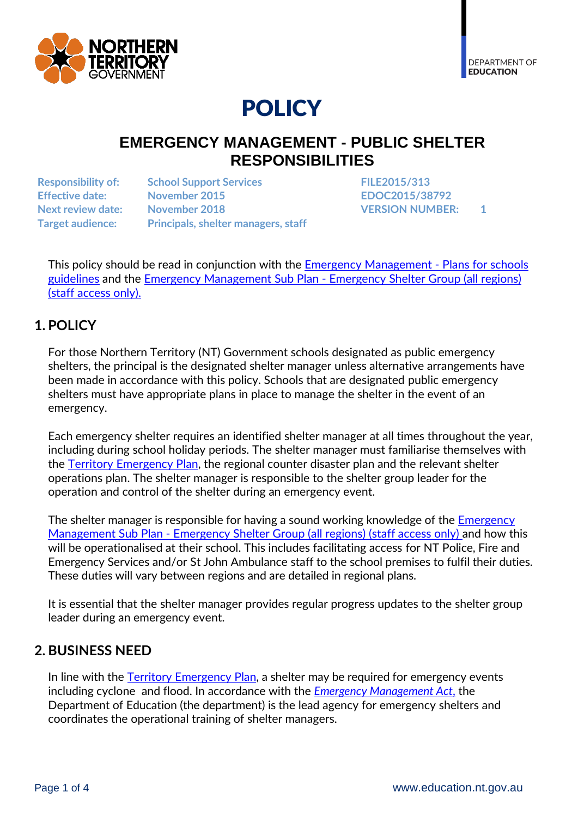

# POLICY

# **EMERGENCY MANAGEMENT - PUBLIC SHELTER RESPONSIBILITIES**

**Responsibility of: School Support Services FILE2015/313 Effective date: November 2015 EDOC2015/38792 Next review date: November 2018 VERSION NUMBER: 1 Target audience: Principals, shelter managers, staff** 

This policy should be read in conjunction with the [Emergency Management](https://education.nt.gov.au/education/policies/emergency-management) - Plans for schools [guidelines](https://education.nt.gov.au/education/policies/emergency-management) and the Emergency Management Sub Plan - [Emergency Shelter Group \(all regions\)](http://ed.ntschools.net/infotech/emc/SitePages/Home.aspx) [\(staff access only\).](http://ed.ntschools.net/infotech/emc/SitePages/Home.aspx)

# **1. POLICY**

For those Northern Territory (NT) Government schools designated as public emergency shelters, the principal is the designated shelter manager unless alternative arrangements have been made in accordance with this policy. Schools that are designated public emergency shelters must have appropriate plans in place to manage the shelter in the event of an emergency.

Each emergency shelter requires an identified shelter manager at all times throughout the year, including during school holiday periods. The shelter manager must familiarise themselves with the [Territory Emergency Plan,](http://www.pfes.nt.gov.au/Emergency-Service/Publications-and-forms.aspx) the regional counter disaster plan and the relevant shelter operations plan. The shelter manager is responsible to the shelter group leader for the operation and control of the shelter during an emergency event.

The shelter manager is responsible for having a sound working knowledge of the Emergency Management Sub Plan - [Emergency Shelter Group \(all regions\)](http://ed.ntschools.net/infotech/emc/emcdocs/Counter%20Disaster%20Sub%20Plan%20All%20Regions%20-%2027112013.pdf) (staff access only) and how this will be operationalised at their school. This includes facilitating access for NT Police, Fire and Emergency Services and/or St John Ambulance staff to the school premises to fulfil their duties. These duties will vary between regions and are detailed in regional plans.

It is essential that the shelter manager provides regular progress updates to the shelter group leader during an emergency event.

## **2. BUSINESS NEED**

In line with the Territory [Emergency Plan,](http://www.pfes.nt.gov.au/Emergency-Service/Publications-and-forms.aspx) a shelter may be required for emergency events including cyclone and flood. In accordance with the *[Emergency Management Act](https://legislation.nt.gov.au/Legislation/EMERGENCY-MANAGEMENT-ACT)*, the Department of Education (the department) is the lead agency for emergency shelters and coordinates the operational training of shelter managers.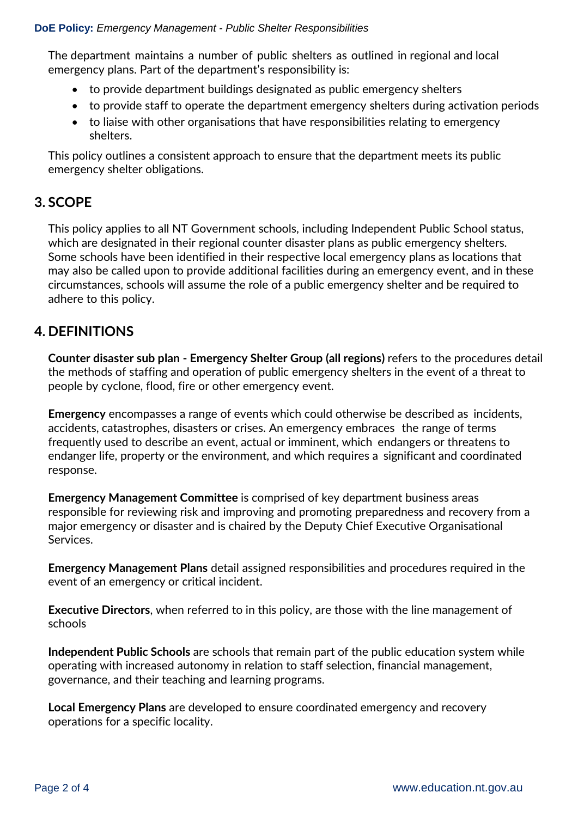#### **DoE Policy:** *Emergency Management - Public Shelter Responsibilities*

The department maintains a number of public shelters as outlined in regional and local emergency plans. Part of the department's responsibility is:

- to provide department buildings designated as public emergency shelters
- to provide staff to operate the department emergency shelters during activation periods
- to liaise with other organisations that have responsibilities relating to emergency shelters.

This policy outlines a consistent approach to ensure that the department meets its public emergency shelter obligations.

### **3. SCOPE**

This policy applies to all NT Government schools, including Independent Public School status, which are designated in their regional counter disaster plans as public emergency shelters. Some schools have been identified in their respective local emergency plans as locations that may also be called upon to provide additional facilities during an emergency event, and in these circumstances, schools will assume the role of a public emergency shelter and be required to adhere to this policy.

## **4. DEFINITIONS**

**Counter disaster sub plan - Emergency Shelter Group (all regions)** refers to the procedures detail the methods of staffing and operation of public emergency shelters in the event of a threat to people by cyclone, flood, fire or other emergency event.

**Emergency** encompasses a range of events which could otherwise be described as incidents, accidents, catastrophes, disasters or crises. An emergency embraces the range of terms frequently used to describe an event, actual or imminent, which endangers or threatens to endanger life, property or the environment, and which requires a significant and coordinated response.

**Emergency Management Committee** is comprised of key department business areas responsible for reviewing risk and improving and promoting preparedness and recovery from a major emergency or disaster and is chaired by the Deputy Chief Executive Organisational Services.

**Emergency Management Plans** detail assigned responsibilities and procedures required in the event of an emergency or critical incident.

**Executive Directors**, when referred to in this policy, are those with the line management of schools

**Independent Public Schools** are schools that remain part of the public education system while operating with increased autonomy in relation to staff selection, financial management, governance, and their teaching and learning programs.

**Local Emergency Plans** are developed to ensure coordinated emergency and recovery operations for a specific locality.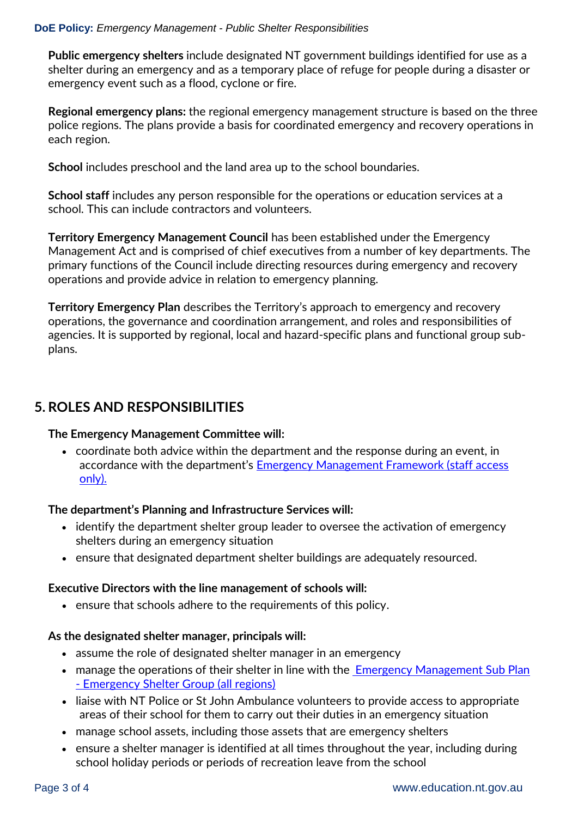#### **DoE Policy:** *Emergency Management - Public Shelter Responsibilities*

**Public emergency shelters** include designated NT government buildings identified for use as a shelter during an emergency and as a temporary place of refuge for people during a disaster or emergency event such as a flood, cyclone or fire.

**Regional emergency plans:** the regional emergency management structure is based on the three police regions. The plans provide a basis for coordinated emergency and recovery operations in each region.

**School** includes preschool and the land area up to the school boundaries.

**School staff** includes any person responsible for the operations or education services at a school. This can include contractors and volunteers.

**Territory Emergency Management Council** has been established under the Emergency Management Act and is comprised of chief executives from a number of key departments. The primary functions of the Council include directing resources during emergency and recovery operations and provide advice in relation to emergency planning.

**Territory Emergency Plan** describes the Territory's approach to emergency and recovery operations, the governance and coordination arrangement, and roles and responsibilities of agencies. It is supported by regional, local and hazard-specific plans and functional group subplans.

## **5. ROLES AND RESPONSIBILITIES**

#### **The Emergency Management Committee will:**

 coordinate both advice within the department and the response during an event, in accordance with the department's [Emergency Management Framework](http://ed.ntschools.net/infotech/emc/SitePages/Home.aspx) (staff access [only\).](http://ed.ntschools.net/infotech/emc/SitePages/Home.aspx)

#### **The department's Planning and Infrastructure Services will:**

- identify the department shelter group leader to oversee the activation of emergency shelters during an emergency situation
- ensure that designated department shelter buildings are adequately resourced.

#### **Executive Directors with the line management of schools will:**

• ensure that schools adhere to the requirements of this policy.

#### **As the designated shelter manager, principals will:**

- assume the role of designated shelter manager in an emergency
- manage the operations of their shelter in line with the Emergency Management Sub Plan - [Emergency Shelter Group \(all regions\)](http://ed.ntschools.net/infotech/emc/emcdocs/Counter%20Disaster%20Sub%20Plan%20All%20Regions%20-%2027112013.pdf)
- liaise with NT Police or St John Ambulance volunteers to provide access to appropriate areas of their school for them to carry out their duties in an emergency situation
- manage school assets, including those assets that are emergency shelters
- ensure a shelter manager is identified at all times throughout the year, including during school holiday periods or periods of recreation leave from the school